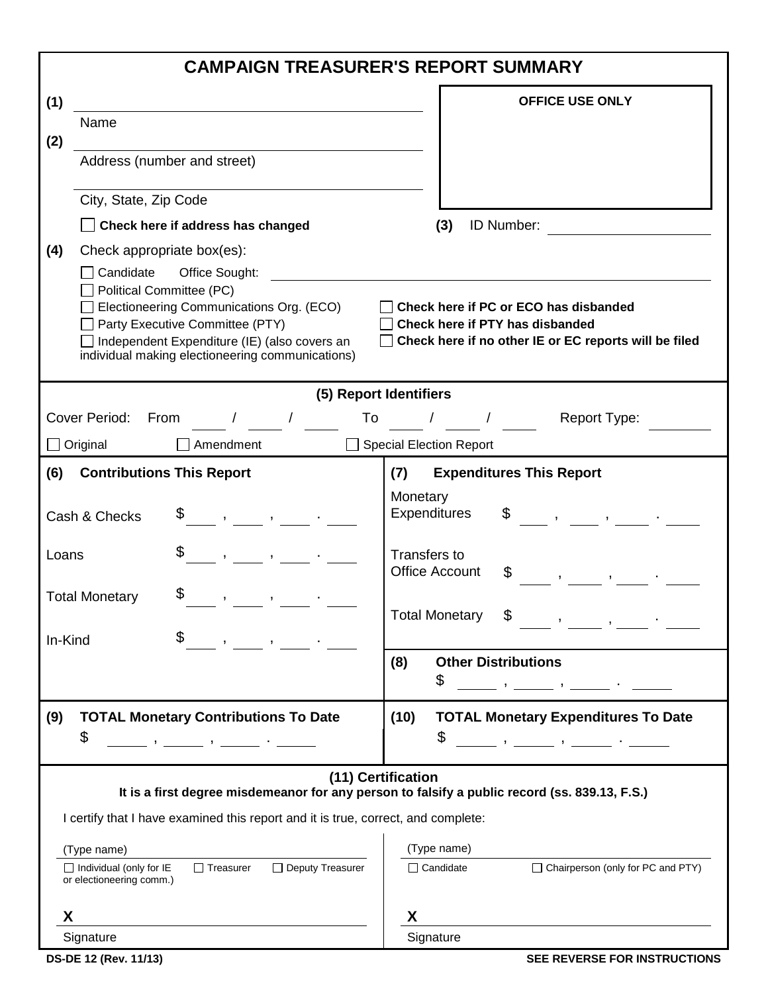|         |                                                                                                                                                                                                                                                                                                                                              | <b>CAMPAIGN TREASURER'S REPORT SUMMARY</b>                                                                                                                                                                                                                                                                                                                                                                                                                                                 |
|---------|----------------------------------------------------------------------------------------------------------------------------------------------------------------------------------------------------------------------------------------------------------------------------------------------------------------------------------------------|--------------------------------------------------------------------------------------------------------------------------------------------------------------------------------------------------------------------------------------------------------------------------------------------------------------------------------------------------------------------------------------------------------------------------------------------------------------------------------------------|
| (1)     |                                                                                                                                                                                                                                                                                                                                              | <b>OFFICE USE ONLY</b>                                                                                                                                                                                                                                                                                                                                                                                                                                                                     |
|         | Name                                                                                                                                                                                                                                                                                                                                         |                                                                                                                                                                                                                                                                                                                                                                                                                                                                                            |
| (2)     | Address (number and street)                                                                                                                                                                                                                                                                                                                  |                                                                                                                                                                                                                                                                                                                                                                                                                                                                                            |
|         | City, State, Zip Code                                                                                                                                                                                                                                                                                                                        |                                                                                                                                                                                                                                                                                                                                                                                                                                                                                            |
|         | Check here if address has changed                                                                                                                                                                                                                                                                                                            | ID Number:<br>(3)                                                                                                                                                                                                                                                                                                                                                                                                                                                                          |
| (4)     | Check appropriate box(es):                                                                                                                                                                                                                                                                                                                   |                                                                                                                                                                                                                                                                                                                                                                                                                                                                                            |
|         | Candidate<br>Office Sought:                                                                                                                                                                                                                                                                                                                  |                                                                                                                                                                                                                                                                                                                                                                                                                                                                                            |
|         | Political Committee (PC)<br>Electioneering Communications Org. (ECO)                                                                                                                                                                                                                                                                         | Check here if PC or ECO has disbanded                                                                                                                                                                                                                                                                                                                                                                                                                                                      |
|         | Party Executive Committee (PTY)                                                                                                                                                                                                                                                                                                              | Check here if PTY has disbanded                                                                                                                                                                                                                                                                                                                                                                                                                                                            |
|         | Independent Expenditure (IE) (also covers an<br>individual making electioneering communications)                                                                                                                                                                                                                                             | Check here if no other IE or EC reports will be filed                                                                                                                                                                                                                                                                                                                                                                                                                                      |
|         |                                                                                                                                                                                                                                                                                                                                              | (5) Report Identifiers                                                                                                                                                                                                                                                                                                                                                                                                                                                                     |
|         | Cover Period:<br>From<br>$\frac{1}{2}$ $\frac{1}{2}$ $\frac{1}{2}$ $\frac{1}{2}$ $\frac{1}{2}$ $\frac{1}{2}$ $\frac{1}{2}$ $\frac{1}{2}$ $\frac{1}{2}$ $\frac{1}{2}$ $\frac{1}{2}$ $\frac{1}{2}$ $\frac{1}{2}$ $\frac{1}{2}$ $\frac{1}{2}$ $\frac{1}{2}$ $\frac{1}{2}$ $\frac{1}{2}$ $\frac{1}{2}$ $\frac{1}{2}$ $\frac{1}{2}$ $\frac{1}{2}$ | Report Type:<br>To / /                                                                                                                                                                                                                                                                                                                                                                                                                                                                     |
|         | $\Box$ Original<br>Amendment                                                                                                                                                                                                                                                                                                                 | Special Election Report                                                                                                                                                                                                                                                                                                                                                                                                                                                                    |
| (6)     | <b>Contributions This Report</b>                                                                                                                                                                                                                                                                                                             | <b>Expenditures This Report</b><br>(7)                                                                                                                                                                                                                                                                                                                                                                                                                                                     |
|         |                                                                                                                                                                                                                                                                                                                                              | Monetary                                                                                                                                                                                                                                                                                                                                                                                                                                                                                   |
|         | $\begin{array}{ccccccccccccc}\mathbb{S} & &,&,& &\circ &\circ\end{array}$<br>Cash & Checks                                                                                                                                                                                                                                                   | <b>Expenditures</b><br>$\begin{array}{ccccccccccccc}\n\text{\$} & & & , & & , & \text{\_} & & \text{\_} & \text{\_} & \text{\_} & \text{\_} & \text{\_} & \text{\_} & \text{\_} & \text{\_} & \text{\_} & \text{\_} & \text{\_} & \text{\_} & \text{\_} & \text{\_} & \text{\_} & \text{\_} & \text{\_} & \text{\_} & \text{\_} & \text{\_} & \text{\_} & \text{\_} & \text{\_} & \text{\_} & \text{\_} & \text{\_} & \text{\_} & \text{\_} & \text{\_} & \text{\_} & \text{\_} & \text{\$ |
| Loans   | \$<br>$\overline{1}$ , $\overline{1}$ , $\overline{1}$ , $\overline{1}$ , $\overline{1}$ , $\overline{1}$ , $\overline{1}$                                                                                                                                                                                                                   | Transfers to                                                                                                                                                                                                                                                                                                                                                                                                                                                                               |
|         |                                                                                                                                                                                                                                                                                                                                              | Office Account<br>\$<br>$\mathbf{y}$ , and $\mathbf{y}$                                                                                                                                                                                                                                                                                                                                                                                                                                    |
|         | <b>Total Monetary</b><br>$\qquad \qquad , \qquad \qquad , \qquad \qquad .$                                                                                                                                                                                                                                                                   |                                                                                                                                                                                                                                                                                                                                                                                                                                                                                            |
|         |                                                                                                                                                                                                                                                                                                                                              | <b>Total Monetary</b><br>\$                                                                                                                                                                                                                                                                                                                                                                                                                                                                |
| In-Kind | \$                                                                                                                                                                                                                                                                                                                                           |                                                                                                                                                                                                                                                                                                                                                                                                                                                                                            |
|         |                                                                                                                                                                                                                                                                                                                                              | <b>Other Distributions</b><br>(8)                                                                                                                                                                                                                                                                                                                                                                                                                                                          |
|         |                                                                                                                                                                                                                                                                                                                                              | \$<br>_ ,_______ ,_______ . ______                                                                                                                                                                                                                                                                                                                                                                                                                                                         |
| (9)     | <b>TOTAL Monetary Contributions To Date</b>                                                                                                                                                                                                                                                                                                  | <b>TOTAL Monetary Expenditures To Date</b><br>(10)                                                                                                                                                                                                                                                                                                                                                                                                                                         |
|         | \$<br>$\mathbf{y}$ , and $\mathbf{y}$ , and $\mathbf{y}$ , and $\mathbf{y}$                                                                                                                                                                                                                                                                  | \$                                                                                                                                                                                                                                                                                                                                                                                                                                                                                         |
|         |                                                                                                                                                                                                                                                                                                                                              |                                                                                                                                                                                                                                                                                                                                                                                                                                                                                            |
|         |                                                                                                                                                                                                                                                                                                                                              | (11) Certification<br>It is a first degree misdemeanor for any person to falsify a public record (ss. 839.13, F.S.)                                                                                                                                                                                                                                                                                                                                                                        |
|         | I certify that I have examined this report and it is true, correct, and complete:                                                                                                                                                                                                                                                            |                                                                                                                                                                                                                                                                                                                                                                                                                                                                                            |
|         | (Type name)                                                                                                                                                                                                                                                                                                                                  | (Type name)                                                                                                                                                                                                                                                                                                                                                                                                                                                                                |
|         | □ Deputy Treasurer<br>$\Box$ Treasurer<br>$\Box$ Individual (only for IE<br>or electioneering comm.)                                                                                                                                                                                                                                         | □ Chairperson (only for PC and PTY)<br>$\Box$ Candidate                                                                                                                                                                                                                                                                                                                                                                                                                                    |
| X       |                                                                                                                                                                                                                                                                                                                                              | x                                                                                                                                                                                                                                                                                                                                                                                                                                                                                          |
|         | Signature                                                                                                                                                                                                                                                                                                                                    | Signature                                                                                                                                                                                                                                                                                                                                                                                                                                                                                  |
|         | <b>DS-DE 12 (Rev. 11/13)</b>                                                                                                                                                                                                                                                                                                                 | SEE REVERSE FOR INSTRUCTIONS                                                                                                                                                                                                                                                                                                                                                                                                                                                               |